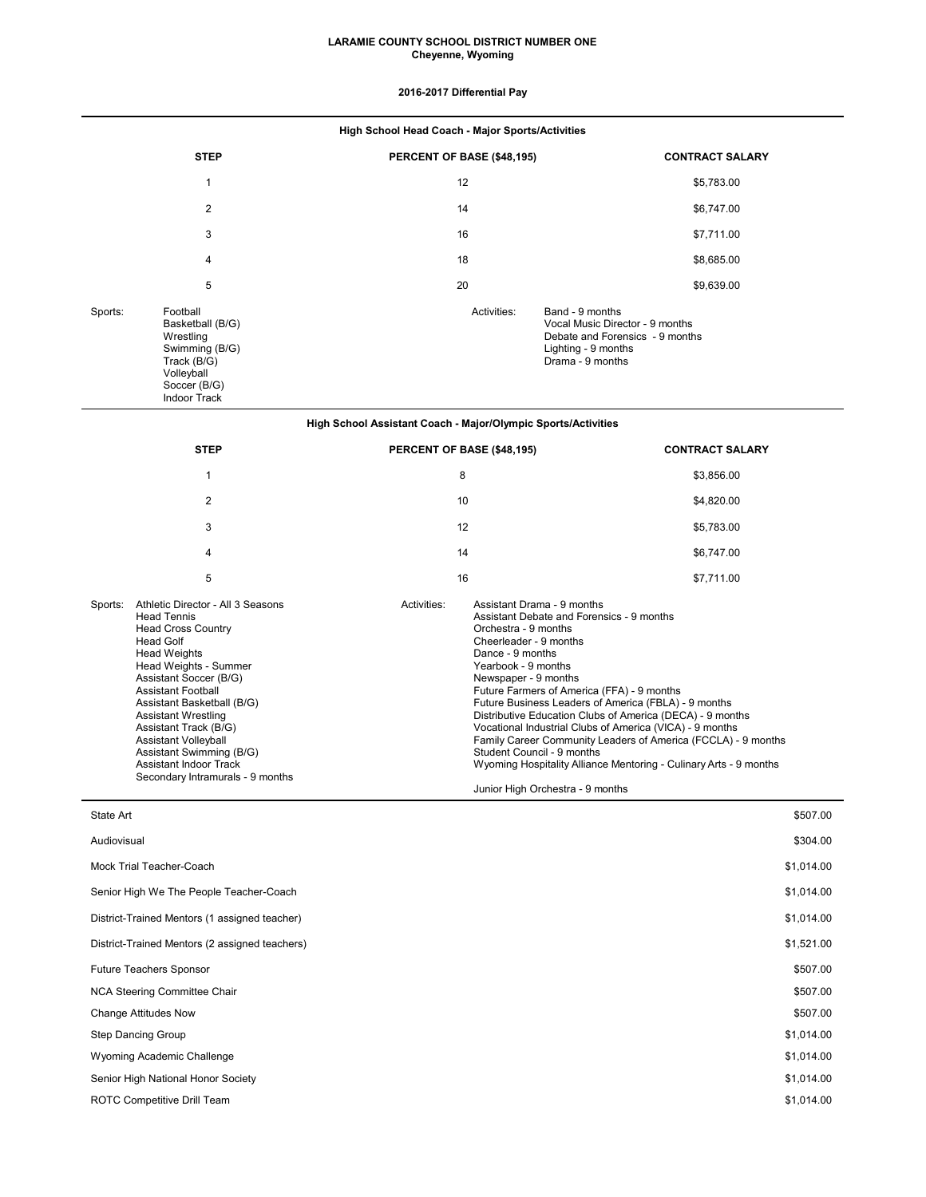### **LARAMIE COUNTY SCHOOL DISTRICT NUMBER ONE Cheyenne, Wyoming**

# **2016-2017 Differential Pay**

| High School Head Coach - Major Sports/Activities |                                                                                                                                 |                            |                                                                                                                                  |  |  |
|--------------------------------------------------|---------------------------------------------------------------------------------------------------------------------------------|----------------------------|----------------------------------------------------------------------------------------------------------------------------------|--|--|
|                                                  | <b>STEP</b>                                                                                                                     | PERCENT OF BASE (\$48,195) | <b>CONTRACT SALARY</b>                                                                                                           |  |  |
|                                                  | $\mathbf{1}$                                                                                                                    | 12                         | \$5,783.00                                                                                                                       |  |  |
|                                                  | 2                                                                                                                               | 14                         | \$6,747.00                                                                                                                       |  |  |
|                                                  | 3                                                                                                                               | 16                         | \$7,711.00                                                                                                                       |  |  |
|                                                  | 4                                                                                                                               | 18                         | \$8,685.00                                                                                                                       |  |  |
|                                                  | 5                                                                                                                               | 20                         | \$9,639.00                                                                                                                       |  |  |
| Sports:                                          | Football<br>Basketball (B/G)<br>Wrestling<br>Swimming (B/G)<br>Track (B/G)<br>Volleyball<br>Soccer (B/G)<br><b>Indoor Track</b> | Activities:                | Band - 9 months<br>Vocal Music Director - 9 months<br>Debate and Forensics - 9 months<br>Lighting - 9 months<br>Drama - 9 months |  |  |

# **High School Assistant Coach - Major/Olympic Sports/Activities**

|         | <b>STEP</b>                                                                                                                                                                                                                                                                                                                                                                                                                          | PERCENT OF BASE (\$48,195) |                                                                                                                                                                                                                                                                                                                                                                                                                                                                                                                                                                                                                                     | <b>CONTRACT SALARY</b> |
|---------|--------------------------------------------------------------------------------------------------------------------------------------------------------------------------------------------------------------------------------------------------------------------------------------------------------------------------------------------------------------------------------------------------------------------------------------|----------------------------|-------------------------------------------------------------------------------------------------------------------------------------------------------------------------------------------------------------------------------------------------------------------------------------------------------------------------------------------------------------------------------------------------------------------------------------------------------------------------------------------------------------------------------------------------------------------------------------------------------------------------------------|------------------------|
|         |                                                                                                                                                                                                                                                                                                                                                                                                                                      | 8                          |                                                                                                                                                                                                                                                                                                                                                                                                                                                                                                                                                                                                                                     | \$3,856.00             |
|         | 2                                                                                                                                                                                                                                                                                                                                                                                                                                    | 10                         |                                                                                                                                                                                                                                                                                                                                                                                                                                                                                                                                                                                                                                     | \$4,820.00             |
|         | 3                                                                                                                                                                                                                                                                                                                                                                                                                                    | 12                         |                                                                                                                                                                                                                                                                                                                                                                                                                                                                                                                                                                                                                                     | \$5,783.00             |
|         | 4                                                                                                                                                                                                                                                                                                                                                                                                                                    | 14                         |                                                                                                                                                                                                                                                                                                                                                                                                                                                                                                                                                                                                                                     | \$6,747.00             |
|         | 5                                                                                                                                                                                                                                                                                                                                                                                                                                    | 16                         |                                                                                                                                                                                                                                                                                                                                                                                                                                                                                                                                                                                                                                     | \$7.711.00             |
| Sports: | Athletic Director - All 3 Seasons<br><b>Head Tennis</b><br><b>Head Cross Country</b><br><b>Head Golf</b><br><b>Head Weights</b><br>Head Weights - Summer<br>Assistant Soccer (B/G)<br><b>Assistant Football</b><br>Assistant Basketball (B/G)<br><b>Assistant Wrestling</b><br>Assistant Track (B/G)<br><b>Assistant Volleyball</b><br>Assistant Swimming (B/G)<br><b>Assistant Indoor Track</b><br>Secondary Intramurals - 9 months | Activities:                | Assistant Drama - 9 months<br>Assistant Debate and Forensics - 9 months<br>Orchestra - 9 months<br>Cheerleader - 9 months<br>Dance - 9 months<br>Yearbook - 9 months<br>Newspaper - 9 months<br>Future Farmers of America (FFA) - 9 months<br>Future Business Leaders of America (FBLA) - 9 months<br>Distributive Education Clubs of America (DECA) - 9 months<br>Vocational Industrial Clubs of America (VICA) - 9 months<br>Family Career Community Leaders of America (FCCLA) - 9 months<br>Student Council - 9 months<br>Wyoming Hospitality Alliance Mentoring - Culinary Arts - 9 months<br>Junior High Orchestra - 9 months |                        |

| State Art                                      | \$507.00   |
|------------------------------------------------|------------|
| Audiovisual                                    | \$304.00   |
| Mock Trial Teacher-Coach                       | \$1,014.00 |
| Senior High We The People Teacher-Coach        | \$1,014.00 |
| District-Trained Mentors (1 assigned teacher)  | \$1,014.00 |
| District-Trained Mentors (2 assigned teachers) | \$1,521.00 |
| <b>Future Teachers Sponsor</b>                 | \$507.00   |
| NCA Steering Committee Chair                   | \$507.00   |
| <b>Change Attitudes Now</b>                    | \$507.00   |
| Step Dancing Group                             | \$1,014.00 |
| Wyoming Academic Challenge                     | \$1,014.00 |
| Senior High National Honor Society             | \$1,014.00 |
| ROTC Competitive Drill Team                    | \$1,014.00 |